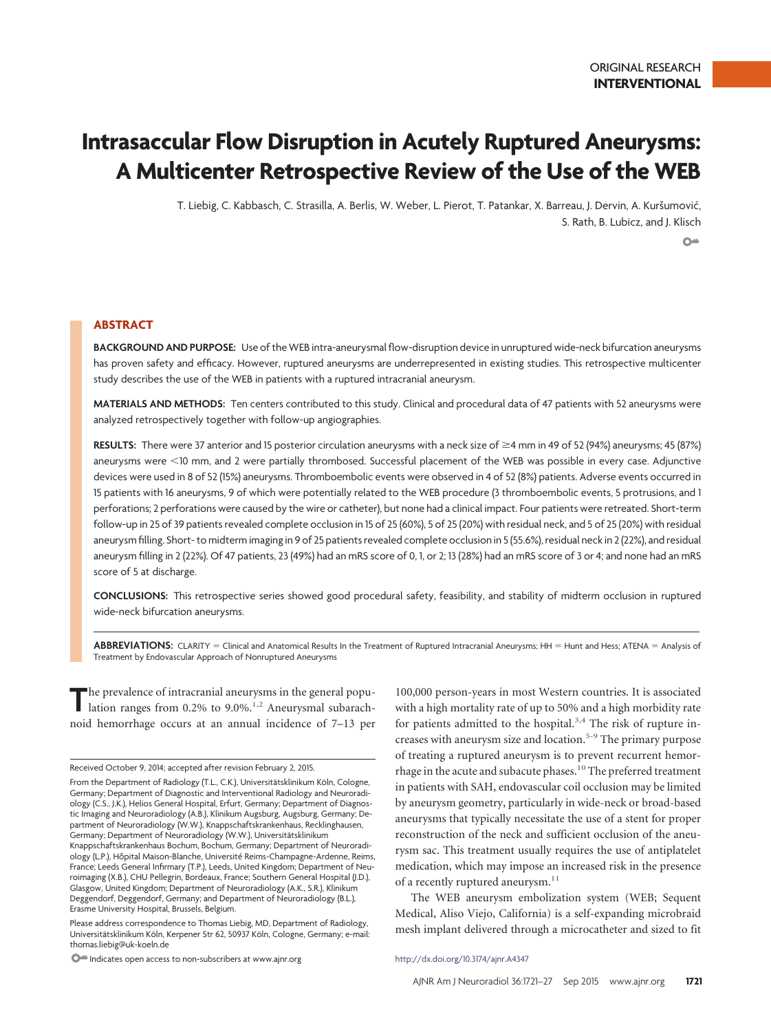# **Intrasaccular Flow Disruption in Acutely Ruptured Aneurysms: A Multicenter Retrospective Review of the Use of the WEB**

T. Liebig, C. Kabbasch, C. Strasilla, A. Berlis, W. Weber, L. Pierot, T. Patankar, X. Barreau, J. Dervin, A. Kuršumović, S. Rath, B. Lubicz, and J. Klisch  $O<sub>m</sub>$ 

## **ABSTRACT**

**BACKGROUND AND PURPOSE:** Use of the WEB intra-aneurysmal flow-disruption device in unruptured wide-neck bifurcation aneurysms has proven safety and efficacy. However, ruptured aneurysms are underrepresented in existing studies. This retrospective multicenter study describes the use of the WEB in patients with a ruptured intracranial aneurysm.

**MATERIALS AND METHODS:** Ten centers contributed to this study. Clinical and procedural data of 47 patients with 52 aneurysms were analyzed retrospectively together with follow-up angiographies.

**RESULTS:** There were 37 anterior and 15 posterior circulation aneurysms with a neck size of ≥4 mm in 49 of 52 (94%) aneurysms; 45 (87%) aneurysms were -10 mm, and 2 were partially thrombosed. Successful placement of the WEB was possible in every case. Adjunctive devices were used in 8 of 52 (15%) aneurysms. Thromboembolic events were observed in 4 of 52 (8%) patients. Adverse events occurred in 15 patients with 16 aneurysms, 9 of which were potentially related to the WEB procedure (3 thromboembolic events, 5 protrusions, and 1 perforations; 2 perforations were caused by the wire or catheter), but none had a clinical impact. Four patients were retreated. Short-term follow-up in 25 of 39 patients revealed complete occlusion in 15 of 25 (60%), 5 of 25 (20%) with residual neck, and 5 of 25 (20%) with residual aneurysm filling. Short- to midterm imaging in 9 of 25 patients revealed complete occlusion in 5 (55.6%), residual neck in 2 (22%), and residual aneurysm filling in 2 (22%). Of 47 patients, 23 (49%) had an mRS score of 0, 1, or 2; 13 (28%) had an mRS score of 3 or 4; and none had an mRS score of 5 at discharge.

**CONCLUSIONS:** This retrospective series showed good procedural safety, feasibility, and stability of midterm occlusion in ruptured wide-neck bifurcation aneurysms.

ABBREVIATIONS: CLARITY = Clinical and Anatomical Results In the Treatment of Ruptured Intracranial Aneurysms; HH = Hunt and Hess; ATENA = Analysis of Treatment by Endovascular Approach of Nonruptured Aneurysms

The prevalence of intracranial aneurysms in the general population ranges from 0.[2](#page-6-1)% to 9.0%.<sup>1,2</sup> Aneurysmal subarachnoid hemorrhage occurs at an annual incidence of 7–13 per 100,000 person-years in most Western countries. It is associated with a high mortality rate of up to 50% and a high morbidity rate for patients admitted to the hospital. $3,4$  $3,4$  The risk of rupture in-creases with aneurysm size and location.<sup>5-[9](#page-6-5)</sup> The primary purpose of treating a ruptured aneurysm is to prevent recurrent hemorrhage in the acute and subacute phases.<sup>10</sup> The preferred treatment in patients with SAH, endovascular coil occlusion may be limited by aneurysm geometry, particularly in wide-neck or broad-based aneurysms that typically necessitate the use of a stent for proper reconstruction of the neck and sufficient occlusion of the aneurysm sac. This treatment usually requires the use of antiplatelet medication, which may impose an increased risk in the presence of a recently ruptured aneurysm.<sup>11</sup>

The WEB aneurysm embolization system (WEB; Sequent Medical, Aliso Viejo, California) is a self-expanding microbraid mesh implant delivered through a microcatheter and sized to fit

Received October 9, 2014; accepted after revision February 2, 2015.

From the Department of Radiology (T.L., C.K.), Universitätsklinikum Köln, Cologne, Germany; Department of Diagnostic and Interventional Radiology and Neuroradiology (C.S., J.K.), Helios General Hospital, Erfurt, Germany; Department of Diagnostic Imaging and Neuroradiology (A.B.), Klinikum Augsburg, Augsburg, Germany; Department of Neuroradiology (W.W.), Knappschaftskrankenhaus, Recklinghausen, Germany; Department of Neuroradiology (W.W.), Universitätsklinikum Knappschaftskrankenhaus Bochum, Bochum, Germany; Department of Neuroradiology (L.P.), Hôpital Maison-Blanche, Université Reims-Champagne-Ardenne, Reims, France; Leeds General Infirmary (T.P.), Leeds, United Kingdom; Department of Neuroimaging (X.B.), CHU Pellegrin, Bordeaux, France; Southern General Hospital (J.D.), Glasgow, United Kingdom; Department of Neuroradiology (A.K., S.R.), Klinikum Deggendorf, Deggendorf, Germany; and Department of Neuroradiology (B.L.), Erasme University Hospital, Brussels, Belgium.

Please address correspondence to Thomas Liebig, MD, Department of Radiology, Universitätsklinikum Köln, Kerpener Str 62, 50937 Köln, Cologne, Germany; e-mail: thomas.liebig@uk-koeln.de

O<sup>223</sup> Indicates open access to non-subscribers at www.ajnr.org http://dx.doi.org/10.3174/ajnr.A4347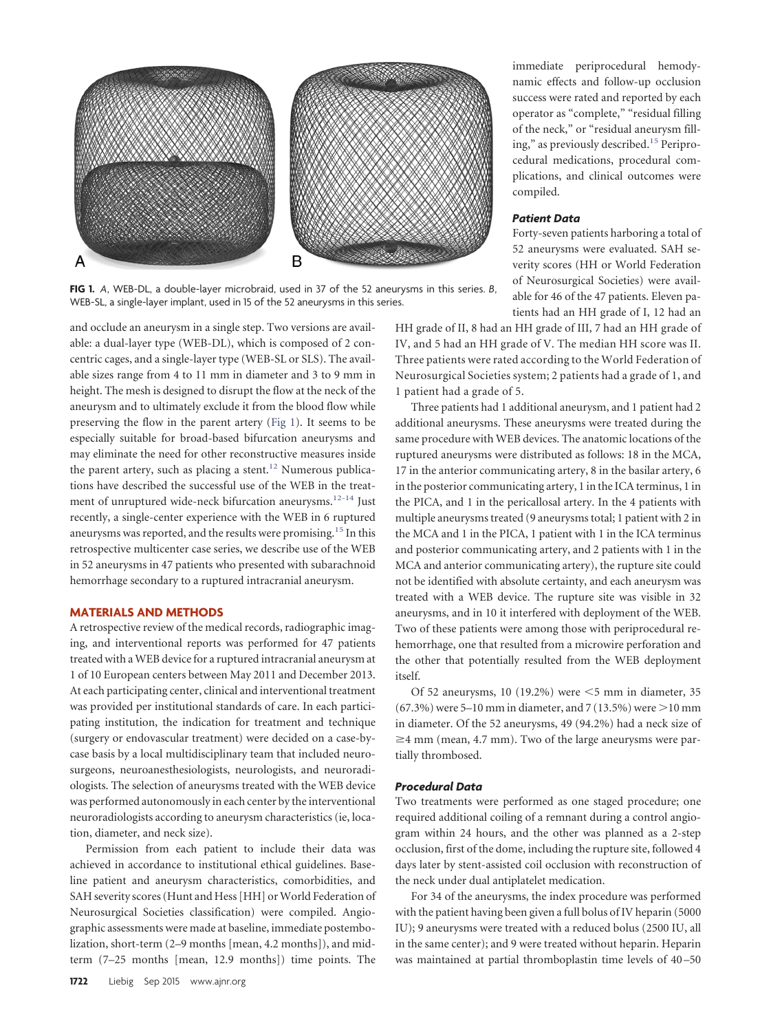<span id="page-1-0"></span>

**FIG 1.** *A*, WEB-DL, a double-layer microbraid, used in 37 of the 52 aneurysms in this series. *B*, WEB-SL, a single-layer implant, used in 15 of the 52 aneurysms in this series.

and occlude an aneurysm in a single step. Two versions are available: a dual-layer type (WEB-DL), which is composed of 2 concentric cages, and a single-layer type (WEB-SL or SLS). The available sizes range from 4 to 11 mm in diameter and 3 to 9 mm in height. The mesh is designed to disrupt the flow at the neck of the aneurysm and to ultimately exclude it from the blood flow while preserving the flow in the parent artery [\(Fig 1\)](#page-1-0). It seems to be especially suitable for broad-based bifurcation aneurysms and may eliminate the need for other reconstructive measures inside the parent artery, such as placing a stent.<sup>12</sup> Numerous publications have described the successful use of the WEB in the treat-ment of unruptured wide-neck bifurcation aneurysms.<sup>12-[14](#page-6-9)</sup> Just recently, a single-center experience with the WEB in 6 ruptured aneurysms was reported, and the results were promising[.15](#page-6-10) In this retrospective multicenter case series, we describe use of the WEB in 52 aneurysms in 47 patients who presented with subarachnoid hemorrhage secondary to a ruptured intracranial aneurysm.

### **MATERIALS AND METHODS**

A retrospective review of the medical records, radiographic imaging, and interventional reports was performed for 47 patients treated with a WEB device for a ruptured intracranial aneurysm at 1 of 10 European centers between May 2011 and December 2013. At each participating center, clinical and interventional treatment was provided per institutional standards of care. In each participating institution, the indication for treatment and technique (surgery or endovascular treatment) were decided on a case-bycase basis by a local multidisciplinary team that included neurosurgeons, neuroanesthesiologists, neurologists, and neuroradiologists. The selection of aneurysms treated with the WEB device was performed autonomously in each center by the interventional neuroradiologists according to aneurysm characteristics (ie, location, diameter, and neck size).

Permission from each patient to include their data was achieved in accordance to institutional ethical guidelines. Baseline patient and aneurysm characteristics, comorbidities, and SAH severity scores (Hunt and Hess [HH] or World Federation of Neurosurgical Societies classification) were compiled. Angiographic assessments were made at baseline, immediate postembolization, short-term (2–9 months [mean, 4.2 months]), and midterm (7–25 months [mean, 12.9 months]) time points. The

immediate periprocedural hemodynamic effects and follow-up occlusion success were rated and reported by each operator as "complete," "residual filling of the neck," or "residual aneurysm filling," as previously described[.15](#page-6-10) Periprocedural medications, procedural complications, and clinical outcomes were compiled.

## *Patient Data*

Forty-seven patients harboring a total of 52 aneurysms were evaluated. SAH severity scores (HH or World Federation of Neurosurgical Societies) were available for 46 of the 47 patients. Eleven patients had an HH grade of I, 12 had an

HH grade of II, 8 had an HH grade of III, 7 had an HH grade of IV, and 5 had an HH grade of V. The median HH score was II. Three patients were rated according to the World Federation of Neurosurgical Societies system; 2 patients had a grade of 1, and 1 patient had a grade of 5.

Three patients had 1 additional aneurysm, and 1 patient had 2 additional aneurysms. These aneurysms were treated during the same procedure with WEB devices. The anatomic locations of the ruptured aneurysms were distributed as follows: 18 in the MCA, 17 in the anterior communicating artery, 8 in the basilar artery, 6 in the posterior communicating artery, 1 in the ICA terminus, 1 in the PICA, and 1 in the pericallosal artery. In the 4 patients with multiple aneurysms treated (9 aneurysms total; 1 patient with 2 in the MCA and 1 in the PICA, 1 patient with 1 in the ICA terminus and posterior communicating artery, and 2 patients with 1 in the MCA and anterior communicating artery), the rupture site could not be identified with absolute certainty, and each aneurysm was treated with a WEB device. The rupture site was visible in 32 aneurysms, and in 10 it interfered with deployment of the WEB. Two of these patients were among those with periprocedural rehemorrhage, one that resulted from a microwire perforation and the other that potentially resulted from the WEB deployment itself.

Of 52 aneurysms, 10 (19.2%) were  $\leq$ 5 mm in diameter, 35 (67.3%) were 5–10 mm in diameter, and 7 (13.5%) were  $>$  10 mm in diameter. Of the 52 aneurysms, 49 (94.2%) had a neck size of ≥4 mm (mean, 4.7 mm). Two of the large aneurysms were partially thrombosed.

## *Procedural Data*

Two treatments were performed as one staged procedure; one required additional coiling of a remnant during a control angiogram within 24 hours, and the other was planned as a 2-step occlusion, first of the dome, including the rupture site, followed 4 days later by stent-assisted coil occlusion with reconstruction of the neck under dual antiplatelet medication.

For 34 of the aneurysms, the index procedure was performed with the patient having been given a full bolus of IV heparin (5000 IU); 9 aneurysms were treated with a reduced bolus (2500 IU, all in the same center); and 9 were treated without heparin. Heparin was maintained at partial thromboplastin time levels of 40 –50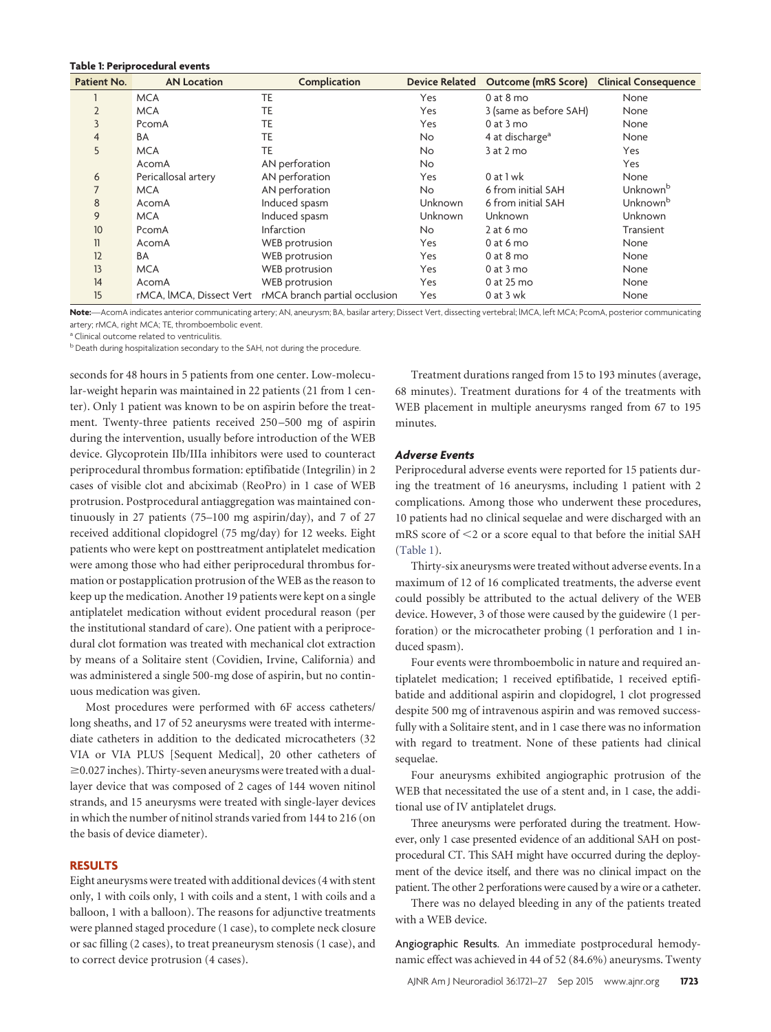#### <span id="page-2-0"></span>**Table 1: Periprocedural events**

| <b>Patient No.</b> | <b>AN Location</b>       | Complication                  |                | Device Related Outcome (mRS Score) Clinical Consequence |                      |
|--------------------|--------------------------|-------------------------------|----------------|---------------------------------------------------------|----------------------|
|                    | <b>MCA</b>               | TE                            | Yes            | $0$ at $8$ mo                                           | None                 |
| $\overline{2}$     | <b>MCA</b>               | TE                            | Yes            | 3 (same as before SAH)                                  | None                 |
| 3                  | PcomA                    | TE                            | Yes            | $0$ at $3$ mo                                           | None                 |
| 4                  | <b>BA</b>                | TE                            | <b>No</b>      | 4 at discharge <sup>a</sup>                             | None                 |
| 5                  | <b>MCA</b>               | TE                            | No.            | $3$ at $2$ mo                                           | Yes                  |
|                    | AcomA                    | AN perforation                | <b>No</b>      |                                                         | Yes                  |
| 6                  | Pericallosal artery      | AN perforation                | Yes            | 0 at 1 wk                                               | None                 |
|                    | <b>MCA</b>               | AN perforation                | <b>No</b>      | 6 from initial SAH                                      | Unknown <sup>b</sup> |
| 8                  | AcomA                    | Induced spasm                 | <b>Unknown</b> | 6 from initial SAH                                      | Unknown <sup>b</sup> |
| 9                  | <b>MCA</b>               | Induced spasm                 | <b>Unknown</b> | <b>Unknown</b>                                          | Unknown              |
| 10                 | PcomA                    | <b>Infarction</b>             | No.            | $2$ at 6 mo                                             | Transient            |
| 11                 | AcomA                    | WEB protrusion                | Yes            | $0$ at 6 mo                                             | None                 |
| 12                 | <b>BA</b>                | WEB protrusion                | Yes            | $0$ at $8$ mo                                           | None                 |
| 13                 | <b>MCA</b>               | WEB protrusion                | Yes            | $0$ at $3$ mo                                           | None                 |
| 14                 | AcomA                    | <b>WEB</b> protrusion         | Yes            | 0 at 25 mo                                              | None                 |
| 15                 | rMCA, IMCA, Dissect Vert | rMCA branch partial occlusion | Yes            | $0$ at $3$ wk                                           | None                 |

**Note:**—AcomA indicates anterior communicating artery; AN, aneurysm; BA, basilar artery; Dissect Vert, dissecting vertebral; lMCA, left MCA; PcomA, posterior communicating artery; rMCA, right MCA; TE, thromboembolic event.

<sup>a</sup> Clinical outcome related to ventriculitis.

b Death during hospitalization secondary to the SAH, not during the procedure.

seconds for 48 hours in 5 patients from one center. Low-molecular-weight heparin was maintained in 22 patients (21 from 1 center). Only 1 patient was known to be on aspirin before the treatment. Twenty-three patients received 250 –500 mg of aspirin during the intervention, usually before introduction of the WEB device. Glycoprotein IIb/IIIa inhibitors were used to counteract periprocedural thrombus formation: eptifibatide (Integrilin) in 2 cases of visible clot and abciximab (ReoPro) in 1 case of WEB protrusion. Postprocedural antiaggregation was maintained continuously in 27 patients (75–100 mg aspirin/day), and 7 of 27 received additional clopidogrel (75 mg/day) for 12 weeks. Eight patients who were kept on posttreatment antiplatelet medication were among those who had either periprocedural thrombus formation or postapplication protrusion of the WEB as the reason to keep up the medication. Another 19 patients were kept on a single antiplatelet medication without evident procedural reason (per the institutional standard of care). One patient with a periprocedural clot formation was treated with mechanical clot extraction by means of a Solitaire stent (Covidien, Irvine, California) and was administered a single 500-mg dose of aspirin, but no continuous medication was given.

Most procedures were performed with 6F access catheters/ long sheaths, and 17 of 52 aneurysms were treated with intermediate catheters in addition to the dedicated microcatheters (32 VIA or VIA PLUS [Sequent Medical], 20 other catheters of -0.027 inches). Thirty-seven aneurysms were treated with a duallayer device that was composed of 2 cages of 144 woven nitinol strands, and 15 aneurysms were treated with single-layer devices in which the number of nitinol strands varied from 144 to 216 (on the basis of device diameter).

## **RESULTS**

Eight aneurysms were treated with additional devices (4 with stent only, 1 with coils only, 1 with coils and a stent, 1 with coils and a balloon, 1 with a balloon). The reasons for adjunctive treatments were planned staged procedure (1 case), to complete neck closure or sac filling (2 cases), to treat preaneurysm stenosis (1 case), and to correct device protrusion (4 cases).

Treatment durations ranged from 15 to 193 minutes (average, 68 minutes). Treatment durations for 4 of the treatments with WEB placement in multiple aneurysms ranged from 67 to 195 minutes.

#### *Adverse Events*

Periprocedural adverse events were reported for 15 patients during the treatment of 16 aneurysms, including 1 patient with 2 complications. Among those who underwent these procedures, 10 patients had no clinical sequelae and were discharged with an mRS score of <2 or a score equal to that before the initial SAH [\(Table 1\)](#page-2-0).

Thirty-six aneurysms were treated without adverse events. In a maximum of 12 of 16 complicated treatments, the adverse event could possibly be attributed to the actual delivery of the WEB device. However, 3 of those were caused by the guidewire (1 perforation) or the microcatheter probing (1 perforation and 1 induced spasm).

Four events were thromboembolic in nature and required antiplatelet medication; 1 received eptifibatide, 1 received eptifibatide and additional aspirin and clopidogrel, 1 clot progressed despite 500 mg of intravenous aspirin and was removed successfully with a Solitaire stent, and in 1 case there was no information with regard to treatment. None of these patients had clinical sequelae.

Four aneurysms exhibited angiographic protrusion of the WEB that necessitated the use of a stent and, in 1 case, the additional use of IV antiplatelet drugs.

Three aneurysms were perforated during the treatment. However, only 1 case presented evidence of an additional SAH on postprocedural CT. This SAH might have occurred during the deployment of the device itself, and there was no clinical impact on the patient. The other 2 perforations were caused by a wire or a catheter.

There was no delayed bleeding in any of the patients treated with a WEB device.

Angiographic Results. An immediate postprocedural hemodynamic effect was achieved in 44 of 52 (84.6%) aneurysms. Twenty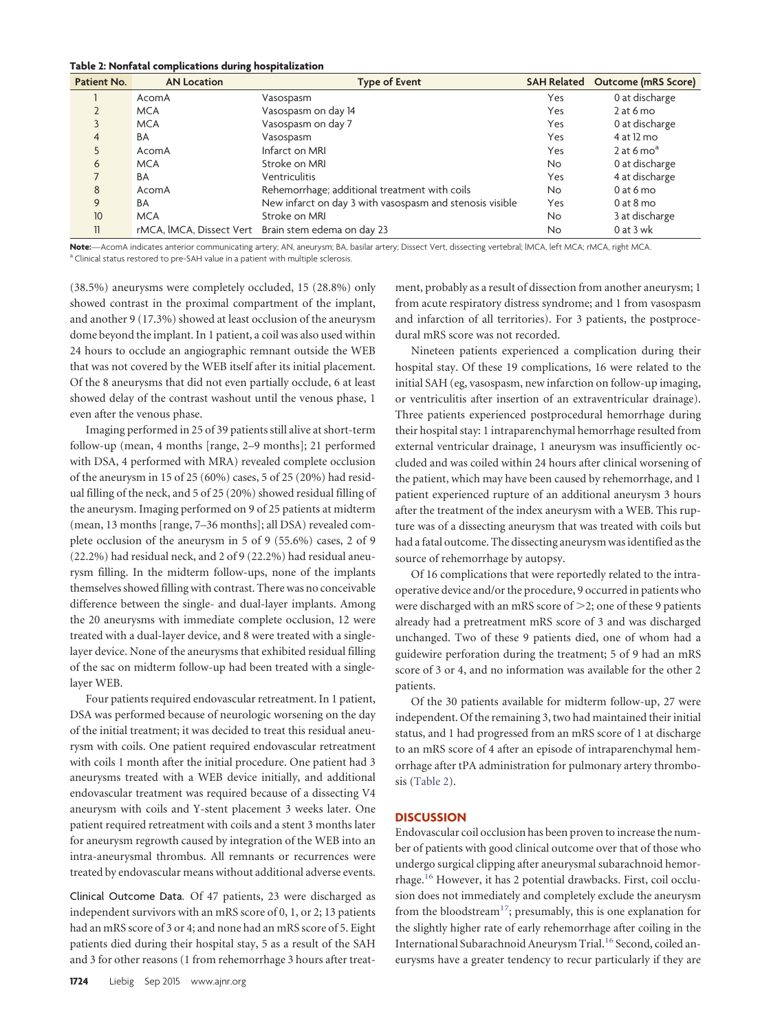#### <span id="page-3-0"></span>**Table 2: Nonfatal complications during hospitalization**

| Patient No. | <b>AN Location</b> | <b>Type of Event</b>                                     |     | SAH Related Outcome (mRS Score) |
|-------------|--------------------|----------------------------------------------------------|-----|---------------------------------|
|             | AcomA              | Vasospasm                                                | Yes | 0 at discharge                  |
|             | <b>MCA</b>         | Vasospasm on day 14                                      | Yes | $2$ at 6 mo                     |
|             | <b>MCA</b>         | Vasospasm on day 7                                       | Yes | 0 at discharge                  |
| 4           | BA                 | Vasospasm                                                | Yes | 4 at 12 mo                      |
|             | AcomA              | Infarct on MRI                                           | Yes | 2 at 6 $moa$                    |
| 6           | <b>MCA</b>         | Stroke on MRI                                            | No. | 0 at discharge                  |
|             | BA                 | Ventriculitis                                            | Yes | 4 at discharge                  |
| 8           | AcomA              | Rehemorrhage; additional treatment with coils            | No. | $0$ at 6 mo                     |
| 9           | BA                 | New infarct on day 3 with vasospasm and stenosis visible | Yes | $0$ at $8$ mo                   |
| 10          | <b>MCA</b>         | Stroke on MRI                                            | No. | 3 at discharge                  |
| 11          |                    | rMCA, IMCA, Dissect Vert Brain stem edema on day 23      | No. | $0$ at $3$ wk                   |

Note:—AcomA indicates anterior communicating artery; AN, aneurysm; BA, basilar artery; Dissect Vert, dissecting vertebral; IMCA, left MCA, rMCA, right MCA. <sup>a</sup> Clinical status restored to pre-SAH value in a patient with multiple sclerosis.

(38.5%) aneurysms were completely occluded, 15 (28.8%) only showed contrast in the proximal compartment of the implant, and another 9 (17.3%) showed at least occlusion of the aneurysm dome beyond the implant. In 1 patient, a coil was also used within 24 hours to occlude an angiographic remnant outside the WEB that was not covered by the WEB itself after its initial placement. Of the 8 aneurysms that did not even partially occlude, 6 at least showed delay of the contrast washout until the venous phase, 1 even after the venous phase.

Imaging performed in 25 of 39 patients still alive at short-term follow-up (mean, 4 months [range, 2–9 months]; 21 performed with DSA, 4 performed with MRA) revealed complete occlusion of the aneurysm in 15 of 25 (60%) cases, 5 of 25 (20%) had residual filling of the neck, and 5 of 25 (20%) showed residual filling of the aneurysm. Imaging performed on 9 of 25 patients at midterm (mean, 13 months [range, 7–36 months]; all DSA) revealed complete occlusion of the aneurysm in 5 of 9 (55.6%) cases, 2 of 9 (22.2%) had residual neck, and 2 of 9 (22.2%) had residual aneurysm filling. In the midterm follow-ups, none of the implants themselves showed filling with contrast. There was no conceivable difference between the single- and dual-layer implants. Among the 20 aneurysms with immediate complete occlusion, 12 were treated with a dual-layer device, and 8 were treated with a singlelayer device. None of the aneurysms that exhibited residual filling of the sac on midterm follow-up had been treated with a singlelayer WEB.

Four patients required endovascular retreatment. In 1 patient, DSA was performed because of neurologic worsening on the day of the initial treatment; it was decided to treat this residual aneurysm with coils. One patient required endovascular retreatment with coils 1 month after the initial procedure. One patient had 3 aneurysms treated with a WEB device initially, and additional endovascular treatment was required because of a dissecting V4 aneurysm with coils and Y-stent placement 3 weeks later. One patient required retreatment with coils and a stent 3 months later for aneurysm regrowth caused by integration of the WEB into an intra-aneurysmal thrombus. All remnants or recurrences were treated by endovascular means without additional adverse events.

Clinical Outcome Data. Of 47 patients, 23 were discharged as independent survivors with an mRS score of 0, 1, or 2; 13 patients had an mRS score of 3 or 4; and none had an mRS score of 5. Eight patients died during their hospital stay, 5 as a result of the SAH and 3 for other reasons (1 from rehemorrhage 3 hours after treatment, probably as a result of dissection from another aneurysm; 1 from acute respiratory distress syndrome; and 1 from vasospasm and infarction of all territories). For 3 patients, the postprocedural mRS score was not recorded.

Nineteen patients experienced a complication during their hospital stay. Of these 19 complications, 16 were related to the initial SAH (eg, vasospasm, new infarction on follow-up imaging, or ventriculitis after insertion of an extraventricular drainage). Three patients experienced postprocedural hemorrhage during their hospital stay: 1 intraparenchymal hemorrhage resulted from external ventricular drainage, 1 aneurysm was insufficiently occluded and was coiled within 24 hours after clinical worsening of the patient, which may have been caused by rehemorrhage, and 1 patient experienced rupture of an additional aneurysm 3 hours after the treatment of the index aneurysm with a WEB. This rupture was of a dissecting aneurysm that was treated with coils but had a fatal outcome. The dissecting aneurysm was identified as the source of rehemorrhage by autopsy.

Of 16 complications that were reportedly related to the intraoperative device and/or the procedure, 9 occurred in patients who were discharged with an mRS score of  $\geq$ 2; one of these 9 patients already had a pretreatment mRS score of 3 and was discharged unchanged. Two of these 9 patients died, one of whom had a guidewire perforation during the treatment; 5 of 9 had an mRS score of 3 or 4, and no information was available for the other 2 patients.

Of the 30 patients available for midterm follow-up, 27 were independent. Of the remaining 3, two had maintained their initial status, and 1 had progressed from an mRS score of 1 at discharge to an mRS score of 4 after an episode of intraparenchymal hemorrhage after tPA administration for pulmonary artery thrombosis [\(Table 2\)](#page-3-0).

### **DISCUSSION**

Endovascular coil occlusion has been proven to increase the number of patients with good clinical outcome over that of those who undergo surgical clipping after aneurysmal subarachnoid hemorrhage[.16](#page-6-11) However, it has 2 potential drawbacks. First, coil occlusion does not immediately and completely exclude the aneurysm from the bloodstream<sup>17</sup>; presumably, this is one explanation for the slightly higher rate of early rehemorrhage after coiling in the International Subarachnoid Aneurysm Trial.<sup>16</sup> Second, coiled aneurysms have a greater tendency to recur particularly if they are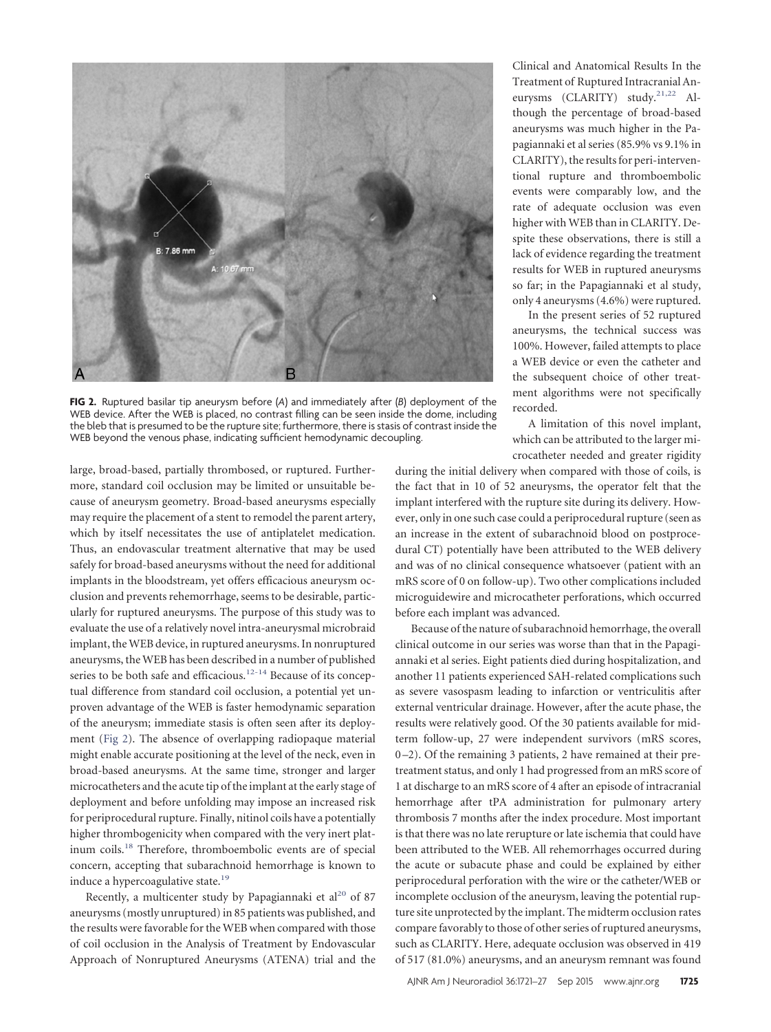<span id="page-4-0"></span>

**FIG 2.** Ruptured basilar tip aneurysm before (*A*) and immediately after (*B*) deployment of the WEB device. After the WEB is placed, no contrast filling can be seen inside the dome, including the bleb that is presumed to be the rupture site; furthermore, there is stasis of contrast inside the WEB beyond the venous phase, indicating sufficient hemodynamic decoupling.

large, broad-based, partially thrombosed, or ruptured. Furthermore, standard coil occlusion may be limited or unsuitable because of aneurysm geometry. Broad-based aneurysms especially may require the placement of a stent to remodel the parent artery, which by itself necessitates the use of antiplatelet medication. Thus, an endovascular treatment alternative that may be used safely for broad-based aneurysms without the need for additional implants in the bloodstream, yet offers efficacious aneurysm occlusion and prevents rehemorrhage, seems to be desirable, particularly for ruptured aneurysms. The purpose of this study was to evaluate the use of a relatively novel intra-aneurysmal microbraid implant, theWEB device, in ruptured aneurysms. In nonruptured aneurysms, the WEB has been described in a number of published series to be both safe and efficacious.<sup>12-[14](#page-6-9)</sup> Because of its conceptual difference from standard coil occlusion, a potential yet unproven advantage of the WEB is faster hemodynamic separation of the aneurysm; immediate stasis is often seen after its deployment [\(Fig 2\)](#page-4-0). The absence of overlapping radiopaque material might enable accurate positioning at the level of the neck, even in broad-based aneurysms. At the same time, stronger and larger microcatheters and the acute tip of the implant at the early stage of deployment and before unfolding may impose an increased risk for periprocedural rupture. Finally, nitinol coils have a potentially higher thrombogenicity when compared with the very inert platinum coils[.18](#page-6-13) Therefore, thromboembolic events are of special concern, accepting that subarachnoid hemorrhage is known to induce a hypercoagulative state.<sup>19</sup>

Recently, a multicenter study by Papagiannaki et al<sup>20</sup> of 87 aneurysms (mostly unruptured) in 85 patients was published, and the results were favorable for the WEB when compared with those of coil occlusion in the Analysis of Treatment by Endovascular Approach of Nonruptured Aneurysms (ATENA) trial and the

Clinical and Anatomical Results In the Treatment of Ruptured Intracranial An-eurysms (CLARITY) study.<sup>21,[22](#page-6-17)</sup> Although the percentage of broad-based aneurysms was much higher in the Papagiannaki et al series (85.9% vs 9.1% in CLARITY), the results for peri-interventional rupture and thromboembolic events were comparably low, and the rate of adequate occlusion was even higher with WEB than in CLARITY. Despite these observations, there is still a lack of evidence regarding the treatment results for WEB in ruptured aneurysms so far; in the Papagiannaki et al study, only 4 aneurysms (4.6%) were ruptured.

In the present series of 52 ruptured aneurysms, the technical success was 100%. However, failed attempts to place a WEB device or even the catheter and the subsequent choice of other treatment algorithms were not specifically recorded.

A limitation of this novel implant, which can be attributed to the larger microcatheter needed and greater rigidity

during the initial delivery when compared with those of coils, is the fact that in 10 of 52 aneurysms, the operator felt that the implant interfered with the rupture site during its delivery. However, only in one such case could a periprocedural rupture (seen as an increase in the extent of subarachnoid blood on postprocedural CT) potentially have been attributed to the WEB delivery and was of no clinical consequence whatsoever (patient with an mRS score of 0 on follow-up). Two other complications included microguidewire and microcatheter perforations, which occurred before each implant was advanced.

Because of the nature of subarachnoid hemorrhage, the overall clinical outcome in our series was worse than that in the Papagiannaki et al series. Eight patients died during hospitalization, and another 11 patients experienced SAH-related complications such as severe vasospasm leading to infarction or ventriculitis after external ventricular drainage. However, after the acute phase, the results were relatively good. Of the 30 patients available for midterm follow-up, 27 were independent survivors (mRS scores, 0 –2). Of the remaining 3 patients, 2 have remained at their pretreatment status, and only 1 had progressed from an mRS score of 1 at discharge to an mRS score of 4 after an episode of intracranial hemorrhage after tPA administration for pulmonary artery thrombosis 7 months after the index procedure. Most important is that there was no late rerupture or late ischemia that could have been attributed to the WEB. All rehemorrhages occurred during the acute or subacute phase and could be explained by either periprocedural perforation with the wire or the catheter/WEB or incomplete occlusion of the aneurysm, leaving the potential rupture site unprotected by the implant. The midterm occlusion rates compare favorably to those of other series of ruptured aneurysms, such as CLARITY. Here, adequate occlusion was observed in 419 of 517 (81.0%) aneurysms, and an aneurysm remnant was found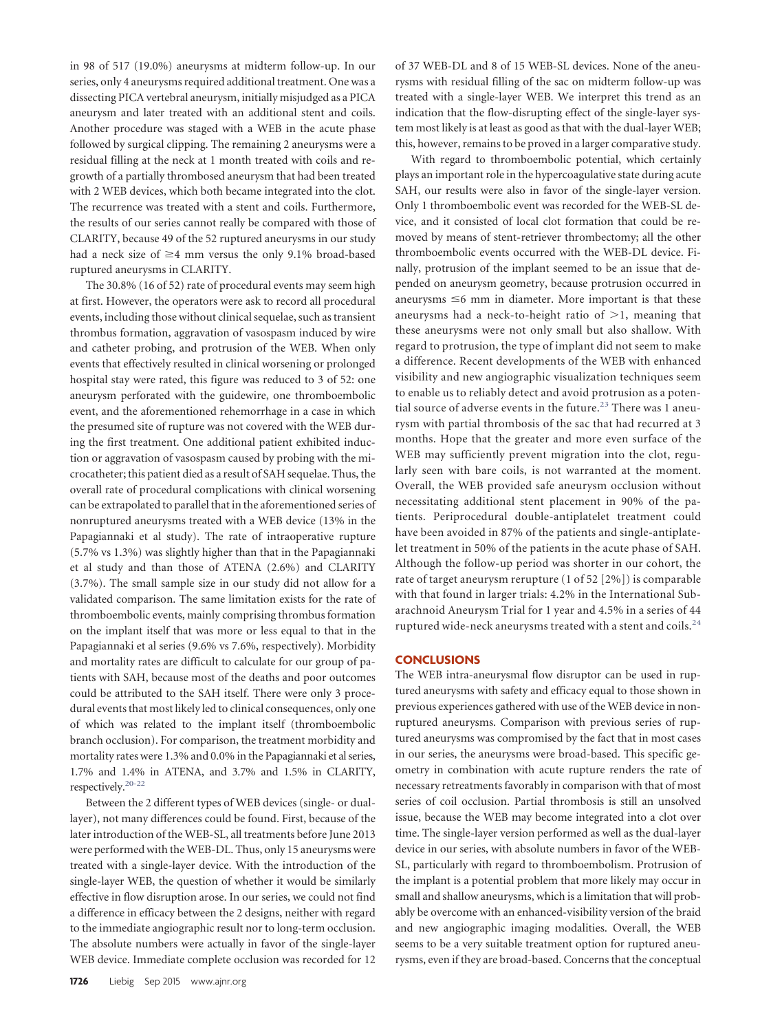in 98 of 517 (19.0%) aneurysms at midterm follow-up. In our series, only 4 aneurysms required additional treatment. One was a dissecting PICA vertebral aneurysm, initially misjudged as a PICA aneurysm and later treated with an additional stent and coils. Another procedure was staged with a WEB in the acute phase followed by surgical clipping. The remaining 2 aneurysms were a residual filling at the neck at 1 month treated with coils and regrowth of a partially thrombosed aneurysm that had been treated with 2 WEB devices, which both became integrated into the clot. The recurrence was treated with a stent and coils. Furthermore, the results of our series cannot really be compared with those of CLARITY, because 49 of the 52 ruptured aneurysms in our study had a neck size of  $\geq 4$  mm versus the only 9.1% broad-based ruptured aneurysms in CLARITY.

The 30.8% (16 of 52) rate of procedural events may seem high at first. However, the operators were ask to record all procedural events, including those without clinical sequelae, such as transient thrombus formation, aggravation of vasospasm induced by wire and catheter probing, and protrusion of the WEB. When only events that effectively resulted in clinical worsening or prolonged hospital stay were rated, this figure was reduced to 3 of 52: one aneurysm perforated with the guidewire, one thromboembolic event, and the aforementioned rehemorrhage in a case in which the presumed site of rupture was not covered with the WEB during the first treatment. One additional patient exhibited induction or aggravation of vasospasm caused by probing with the microcatheter; this patient died as a result of SAH sequelae. Thus, the overall rate of procedural complications with clinical worsening can be extrapolated to parallel that in the aforementioned series of nonruptured aneurysms treated with a WEB device (13% in the Papagiannaki et al study). The rate of intraoperative rupture (5.7% vs 1.3%) was slightly higher than that in the Papagiannaki et al study and than those of ATENA (2.6%) and CLARITY (3.7%). The small sample size in our study did not allow for a validated comparison. The same limitation exists for the rate of thromboembolic events, mainly comprising thrombus formation on the implant itself that was more or less equal to that in the Papagiannaki et al series (9.6% vs 7.6%, respectively). Morbidity and mortality rates are difficult to calculate for our group of patients with SAH, because most of the deaths and poor outcomes could be attributed to the SAH itself. There were only 3 procedural events that most likely led to clinical consequences, only one of which was related to the implant itself (thromboembolic branch occlusion). For comparison, the treatment morbidity and mortality rates were 1.3% and 0.0% in the Papagiannaki et al series, 1.7% and 1.4% in ATENA, and 3.7% and 1.5% in CLARITY, respectively[.20-](#page-6-15)[22](#page-6-17)

Between the 2 different types of WEB devices (single- or duallayer), not many differences could be found. First, because of the later introduction of the WEB-SL, all treatments before June 2013 were performed with the WEB-DL. Thus, only 15 aneurysms were treated with a single-layer device. With the introduction of the single-layer WEB, the question of whether it would be similarly effective in flow disruption arose. In our series, we could not find a difference in efficacy between the 2 designs, neither with regard to the immediate angiographic result nor to long-term occlusion. The absolute numbers were actually in favor of the single-layer WEB device. Immediate complete occlusion was recorded for 12

of 37 WEB-DL and 8 of 15 WEB-SL devices. None of the aneurysms with residual filling of the sac on midterm follow-up was treated with a single-layer WEB. We interpret this trend as an indication that the flow-disrupting effect of the single-layer system most likely is at least as good as that with the dual-layer WEB; this, however, remains to be proved in a larger comparative study.

With regard to thromboembolic potential, which certainly plays an important role in the hypercoagulative state during acute SAH, our results were also in favor of the single-layer version. Only 1 thromboembolic event was recorded for the WEB-SL device, and it consisted of local clot formation that could be removed by means of stent-retriever thrombectomy; all the other thromboembolic events occurred with the WEB-DL device. Finally, protrusion of the implant seemed to be an issue that depended on aneurysm geometry, because protrusion occurred in aneurysms  $\leq 6$  mm in diameter. More important is that these aneurysms had a neck-to-height ratio of  $\geq 1$ , meaning that these aneurysms were not only small but also shallow. With regard to protrusion, the type of implant did not seem to make a difference. Recent developments of the WEB with enhanced visibility and new angiographic visualization techniques seem to enable us to reliably detect and avoid protrusion as a poten-tial source of adverse events in the future.<sup>[23](#page-6-18)</sup> There was 1 aneurysm with partial thrombosis of the sac that had recurred at 3 months. Hope that the greater and more even surface of the WEB may sufficiently prevent migration into the clot, regularly seen with bare coils, is not warranted at the moment. Overall, the WEB provided safe aneurysm occlusion without necessitating additional stent placement in 90% of the patients. Periprocedural double-antiplatelet treatment could have been avoided in 87% of the patients and single-antiplatelet treatment in 50% of the patients in the acute phase of SAH. Although the follow-up period was shorter in our cohort, the rate of target aneurysm rerupture (1 of 52 [2%]) is comparable with that found in larger trials: 4.2% in the International Subarachnoid Aneurysm Trial for 1 year and 4.5% in a series of 44 ruptured wide-neck aneurysms treated with a stent and coils. $^{24}$  $^{24}$  $^{24}$ 

#### **CONCLUSIONS**

The WEB intra-aneurysmal flow disruptor can be used in ruptured aneurysms with safety and efficacy equal to those shown in previous experiences gathered with use of the WEB device in nonruptured aneurysms. Comparison with previous series of ruptured aneurysms was compromised by the fact that in most cases in our series, the aneurysms were broad-based. This specific geometry in combination with acute rupture renders the rate of necessary retreatments favorably in comparison with that of most series of coil occlusion. Partial thrombosis is still an unsolved issue, because the WEB may become integrated into a clot over time. The single-layer version performed as well as the dual-layer device in our series, with absolute numbers in favor of the WEB-SL, particularly with regard to thromboembolism. Protrusion of the implant is a potential problem that more likely may occur in small and shallow aneurysms, which is a limitation that will probably be overcome with an enhanced-visibility version of the braid and new angiographic imaging modalities. Overall, the WEB seems to be a very suitable treatment option for ruptured aneurysms, even if they are broad-based. Concerns that the conceptual